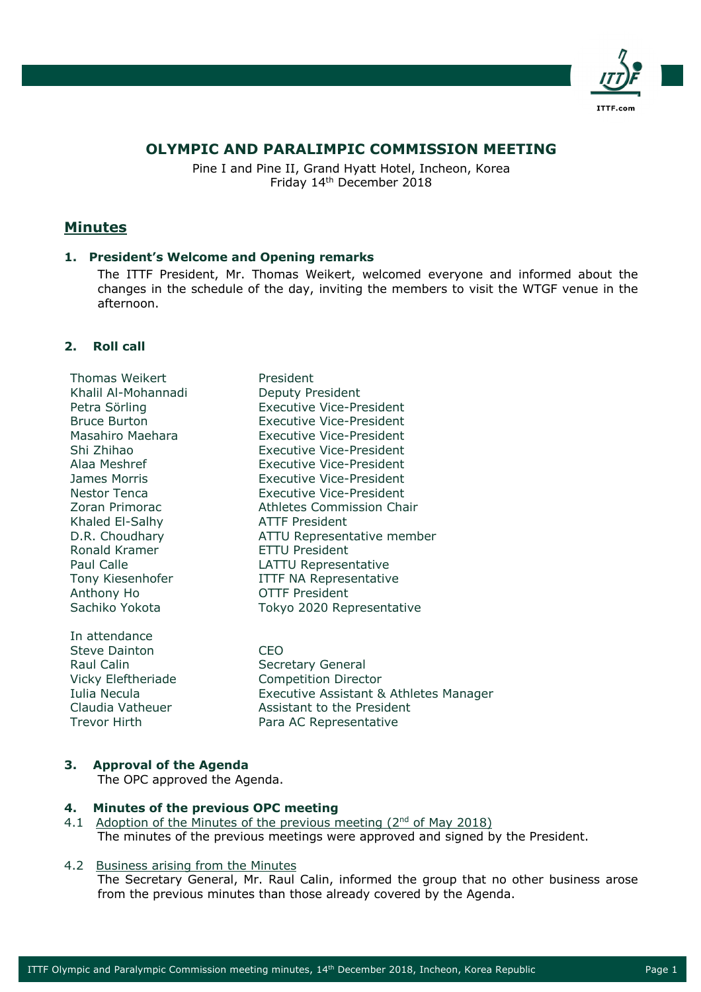

# **OLYMPIC AND PARALIMPIC COMMISSION MEETING**

Pine I and Pine II, Grand Hyatt Hotel, Incheon, Korea Friday 14th December 2018

# **Minutes**

### **1. President's Welcome and Opening remarks**

The ITTF President, Mr. Thomas Weikert, welcomed everyone and informed about the changes in the schedule of the day, inviting the members to visit the WTGF venue in the afternoon.

### **2. Roll call**

Thomas Weikert **President** Khalil Al-Mohannadi Deputy President Khaled El-Salhy ATTF President Ronald Kramer **ETTU President** Anthony Ho OTTF President

In attendance Steve Dainton CEO Raul Calin Secretary General

Petra Sörling **Executive Vice-President** Bruce Burton Executive Vice-President Masahiro Maehara Executive Vice-President Shi Zhihao Executive Vice-President Alaa Meshref Executive Vice-President James Morris Executive Vice-President Nestor Tenca Executive Vice-President Zoran Primorac Athletes Commission Chair D.R. Choudhary ATTU Representative member Paul Calle **LATTU** Representative Tony Kiesenhofer ITTF NA Representative Sachiko Yokota Tokyo 2020 Representative

Vicky Eleftheriade Competition Director Iulia Necula Executive Assistant & Athletes Manager Claudia Vatheuer Assistant to the President Trevor Hirth Para AC Representative

### **3. Approval of the Agenda**

The OPC approved the Agenda.

### **4. Minutes of the previous OPC meeting**

4.1 Adoption of the Minutes of the previous meeting  $(2^{nd}$  of May 2018) The minutes of the previous meetings were approved and signed by the President.

#### 4.2 Business arising from the Minutes

The Secretary General, Mr. Raul Calin, informed the group that no other business arose from the previous minutes than those already covered by the Agenda.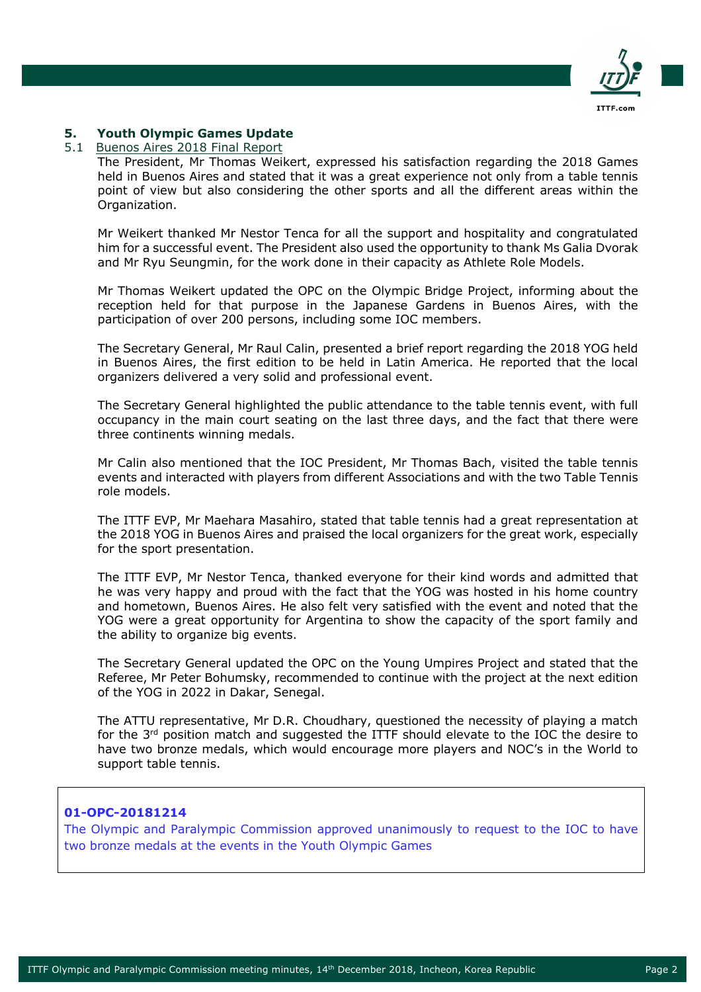

# **5. Youth Olympic Games Update**

#### 5.1 Buenos Aires 2018 Final Report

The President, Mr Thomas Weikert, expressed his satisfaction regarding the 2018 Games held in Buenos Aires and stated that it was a great experience not only from a table tennis point of view but also considering the other sports and all the different areas within the Organization.

Mr Weikert thanked Mr Nestor Tenca for all the support and hospitality and congratulated him for a successful event. The President also used the opportunity to thank Ms Galia Dvorak and Mr Ryu Seungmin, for the work done in their capacity as Athlete Role Models.

Mr Thomas Weikert updated the OPC on the Olympic Bridge Project, informing about the reception held for that purpose in the Japanese Gardens in Buenos Aires, with the participation of over 200 persons, including some IOC members.

The Secretary General, Mr Raul Calin, presented a brief report regarding the 2018 YOG held in Buenos Aires, the first edition to be held in Latin America. He reported that the local organizers delivered a very solid and professional event.

The Secretary General highlighted the public attendance to the table tennis event, with full occupancy in the main court seating on the last three days, and the fact that there were three continents winning medals.

Mr Calin also mentioned that the IOC President, Mr Thomas Bach, visited the table tennis events and interacted with players from different Associations and with the two Table Tennis role models.

The ITTF EVP, Mr Maehara Masahiro, stated that table tennis had a great representation at the 2018 YOG in Buenos Aires and praised the local organizers for the great work, especially for the sport presentation.

The ITTF EVP, Mr Nestor Tenca, thanked everyone for their kind words and admitted that he was very happy and proud with the fact that the YOG was hosted in his home country and hometown, Buenos Aires. He also felt very satisfied with the event and noted that the YOG were a great opportunity for Argentina to show the capacity of the sport family and the ability to organize big events.

The Secretary General updated the OPC on the Young Umpires Project and stated that the Referee, Mr Peter Bohumsky, recommended to continue with the project at the next edition of the YOG in 2022 in Dakar, Senegal.

The ATTU representative, Mr D.R. Choudhary, questioned the necessity of playing a match for the 3<sup>rd</sup> position match and suggested the ITTF should elevate to the IOC the desire to have two bronze medals, which would encourage more players and NOC's in the World to support table tennis.

### **01-OPC-20181214**

The Olympic and Paralympic Commission approved unanimously to request to the IOC to have two bronze medals at the events in the Youth Olympic Games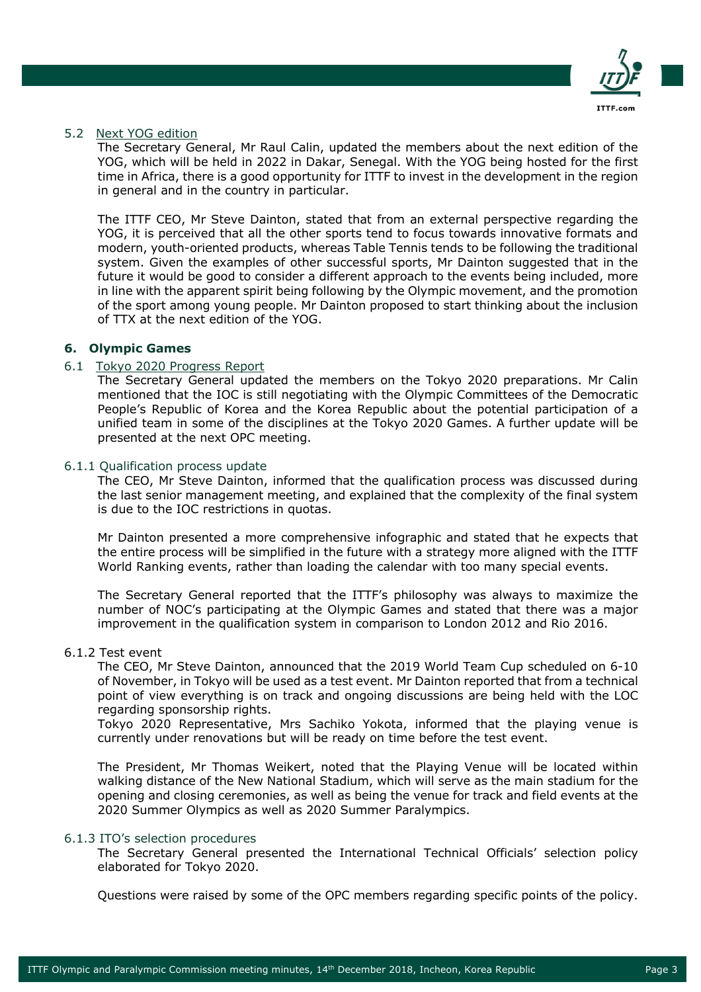

### 5.2 Next YOG edition

The Secretary General, Mr Raul Calin, updated the members about the next edition of the YOG, which will be held in 2022 in Dakar, Senegal. With the YOG being hosted for the first time in Africa, there is a good opportunity for ITTF to invest in the development in the region in general and in the country in particular.

The ITTF CEO, Mr Steve Dainton, stated that from an external perspective regarding the YOG, it is perceived that all the other sports tend to focus towards innovative formats and modern, youth-oriented products, whereas Table Tennis tends to be following the traditional system. Given the examples of other successful sports, Mr Dainton suggested that in the future it would be good to consider a different approach to the events being included, more in line with the apparent spirit being following by the Olympic movement, and the promotion of the sport among young people. Mr Dainton proposed to start thinking about the inclusion of TTX at the next edition of the YOG.

# **6. Olympic Games**

### 6.1 Tokyo 2020 Progress Report

The Secretary General updated the members on the Tokyo 2020 preparations. Mr Calin mentioned that the IOC is still negotiating with the Olympic Committees of the Democratic People's Republic of Korea and the Korea Republic about the potential participation of a unified team in some of the disciplines at the Tokyo 2020 Games. A further update will be presented at the next OPC meeting.

### 6.1.1 Qualification process update

The CEO, Mr Steve Dainton, informed that the qualification process was discussed during the last senior management meeting, and explained that the complexity of the final system is due to the IOC restrictions in quotas.

Mr Dainton presented a more comprehensive infographic and stated that he expects that the entire process will be simplified in the future with a strategy more aligned with the ITTF World Ranking events, rather than loading the calendar with too many special events.

The Secretary General reported that the ITTF's philosophy was always to maximize the number of NOC's participating at the Olympic Games and stated that there was a major improvement in the qualification system in comparison to London 2012 and Rio 2016.

#### 6.1.2 Test event

The CEO, Mr Steve Dainton, announced that the 2019 World Team Cup scheduled on 6-10 of November, in Tokyo will be used as a test event. Mr Dainton reported that from a technical point of view everything is on track and ongoing discussions are being held with the LOC regarding sponsorship rights.

Tokyo 2020 Representative, Mrs Sachiko Yokota, informed that the playing venue is currently under renovations but will be ready on time before the test event.

The President, Mr Thomas Weikert, noted that the Playing Venue will be located within walking distance of the New National Stadium, which will serve as the main stadium for the opening and closing ceremonies, as well as being the venue for track and field events at the 2020 Summer Olympics as well as 2020 Summer Paralympics.

#### 6.1.3 ITO's selection procedures

The Secretary General presented the International Technical Officials' selection policy elaborated for Tokyo 2020.

Questions were raised by some of the OPC members regarding specific points of the policy.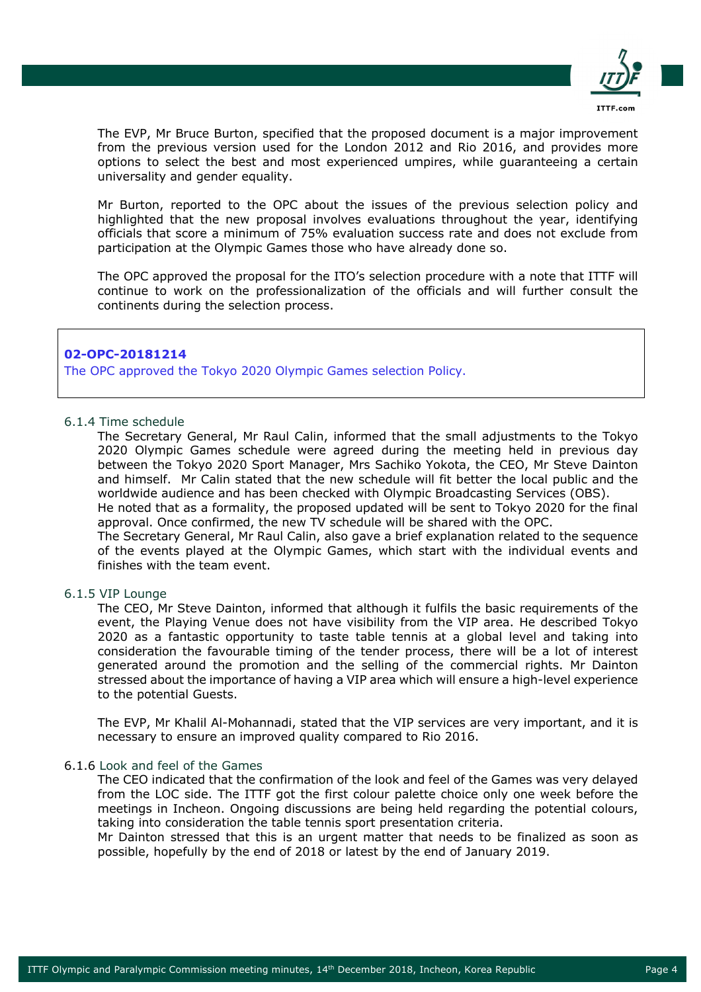

The EVP, Mr Bruce Burton, specified that the proposed document is a major improvement from the previous version used for the London 2012 and Rio 2016, and provides more options to select the best and most experienced umpires, while guaranteeing a certain universality and gender equality.

Mr Burton, reported to the OPC about the issues of the previous selection policy and highlighted that the new proposal involves evaluations throughout the year, identifying officials that score a minimum of 75% evaluation success rate and does not exclude from participation at the Olympic Games those who have already done so.

The OPC approved the proposal for the ITO's selection procedure with a note that ITTF will continue to work on the professionalization of the officials and will further consult the continents during the selection process.

### **02-OPC-20181214**

The OPC approved the Tokyo 2020 Olympic Games selection Policy.

#### 6.1.4 Time schedule

The Secretary General, Mr Raul Calin, informed that the small adjustments to the Tokyo 2020 Olympic Games schedule were agreed during the meeting held in previous day between the Tokyo 2020 Sport Manager, Mrs Sachiko Yokota, the CEO, Mr Steve Dainton and himself. Mr Calin stated that the new schedule will fit better the local public and the worldwide audience and has been checked with Olympic Broadcasting Services (OBS).

He noted that as a formality, the proposed updated will be sent to Tokyo 2020 for the final approval. Once confirmed, the new TV schedule will be shared with the OPC.

The Secretary General, Mr Raul Calin, also gave a brief explanation related to the sequence of the events played at the Olympic Games, which start with the individual events and finishes with the team event.

#### 6.1.5 VIP Lounge

The CEO, Mr Steve Dainton, informed that although it fulfils the basic requirements of the event, the Playing Venue does not have visibility from the VIP area. He described Tokyo 2020 as a fantastic opportunity to taste table tennis at a global level and taking into consideration the favourable timing of the tender process, there will be a lot of interest generated around the promotion and the selling of the commercial rights. Mr Dainton stressed about the importance of having a VIP area which will ensure a high-level experience to the potential Guests.

The EVP, Mr Khalil Al-Mohannadi, stated that the VIP services are very important, and it is necessary to ensure an improved quality compared to Rio 2016.

#### 6.1.6 Look and feel of the Games

The CEO indicated that the confirmation of the look and feel of the Games was very delayed from the LOC side. The ITTF got the first colour palette choice only one week before the meetings in Incheon. Ongoing discussions are being held regarding the potential colours, taking into consideration the table tennis sport presentation criteria.

Mr Dainton stressed that this is an urgent matter that needs to be finalized as soon as possible, hopefully by the end of 2018 or latest by the end of January 2019.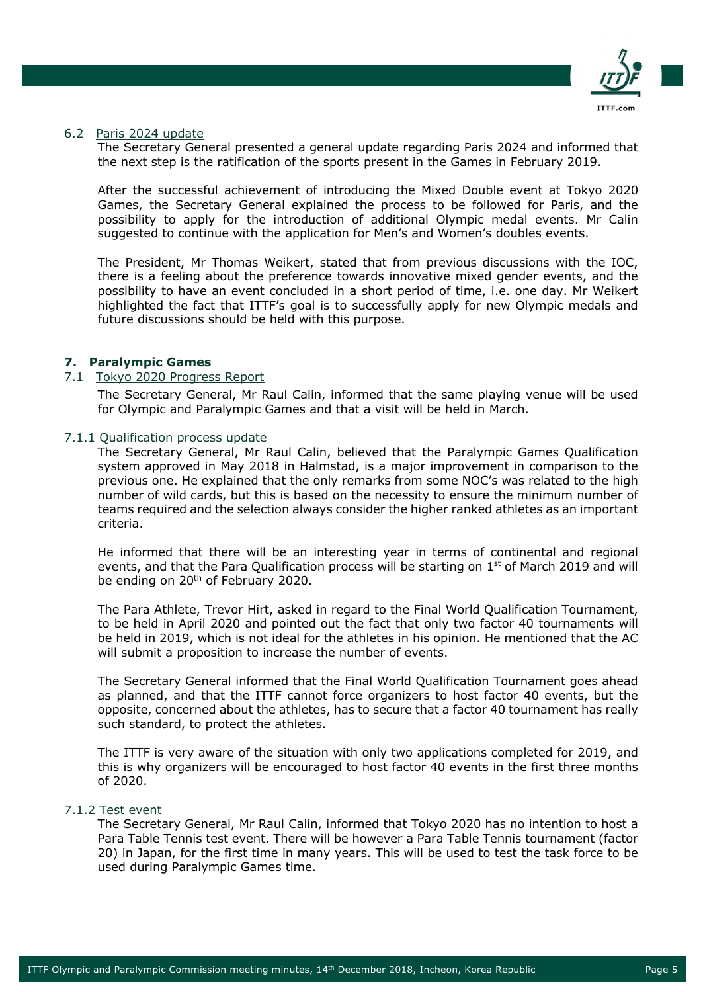

### 6.2 Paris 2024 update

The Secretary General presented a general update regarding Paris 2024 and informed that the next step is the ratification of the sports present in the Games in February 2019.

After the successful achievement of introducing the Mixed Double event at Tokyo 2020 Games, the Secretary General explained the process to be followed for Paris, and the possibility to apply for the introduction of additional Olympic medal events. Mr Calin suggested to continue with the application for Men's and Women's doubles events.

The President, Mr Thomas Weikert, stated that from previous discussions with the IOC, there is a feeling about the preference towards innovative mixed gender events, and the possibility to have an event concluded in a short period of time, i.e. one day. Mr Weikert highlighted the fact that ITTF's goal is to successfully apply for new Olympic medals and future discussions should be held with this purpose.

### **7. Paralympic Games**

## 7.1 Tokyo 2020 Progress Report

The Secretary General, Mr Raul Calin, informed that the same playing venue will be used for Olympic and Paralympic Games and that a visit will be held in March.

#### 7.1.1 Qualification process update

The Secretary General, Mr Raul Calin, believed that the Paralympic Games Qualification system approved in May 2018 in Halmstad, is a major improvement in comparison to the previous one. He explained that the only remarks from some NOC's was related to the high number of wild cards, but this is based on the necessity to ensure the minimum number of teams required and the selection always consider the higher ranked athletes as an important criteria.

He informed that there will be an interesting year in terms of continental and regional events, and that the Para Qualification process will be starting on 1<sup>st</sup> of March 2019 and will be ending on 20<sup>th</sup> of February 2020.

The Para Athlete, Trevor Hirt, asked in regard to the Final World Qualification Tournament, to be held in April 2020 and pointed out the fact that only two factor 40 tournaments will be held in 2019, which is not ideal for the athletes in his opinion. He mentioned that the AC will submit a proposition to increase the number of events.

The Secretary General informed that the Final World Qualification Tournament goes ahead as planned, and that the ITTF cannot force organizers to host factor 40 events, but the opposite, concerned about the athletes, has to secure that a factor 40 tournament has really such standard, to protect the athletes.

The ITTF is very aware of the situation with only two applications completed for 2019, and this is why organizers will be encouraged to host factor 40 events in the first three months of 2020.

#### 7.1.2 Test event

The Secretary General, Mr Raul Calin, informed that Tokyo 2020 has no intention to host a Para Table Tennis test event. There will be however a Para Table Tennis tournament (factor 20) in Japan, for the first time in many years. This will be used to test the task force to be used during Paralympic Games time.